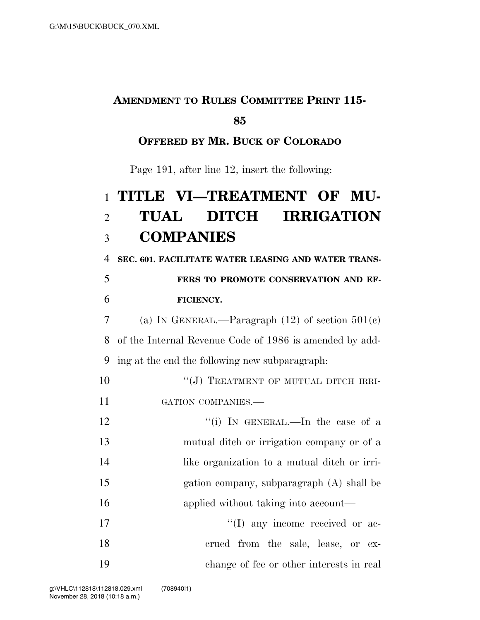### **AMENDMENT TO RULES COMMITTEE PRINT 115-**

#### **85**

#### **OFFERED BY MR. BUCK OF COLORADO**

Page 191, after line 12, insert the following:

# 1 **TITLE VI—TREATMENT OF MU-**2 **TUAL DITCH IRRIGATION**  3 **COMPANIES**

4 **SEC. 601. FACILITATE WATER LEASING AND WATER TRANS-**

# 5 **FERS TO PROMOTE CONSERVATION AND EF-**6 **FICIENCY.**

7 (a) IN GENERAL.—Paragraph  $(12)$  of section  $501(c)$ 8 of the Internal Revenue Code of 1986 is amended by add-9 ing at the end the following new subparagraph:

10 "(J) TREATMENT OF MUTUAL DITCH IRRI-11 GATION COMPANIES.—

12 ''(i) In GENERAL.—In the case of a mutual ditch or irrigation company or of a like organization to a mutual ditch or irri- gation company, subparagraph (A) shall be 16 applied without taking into account—  $\text{``(I)}$  any income received or ac-

18 crued from the sale, lease, or ex-19 change of fee or other interests in real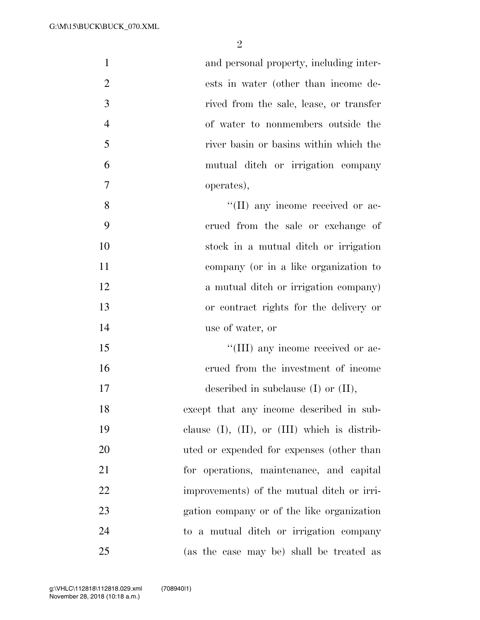| $\mathbf{1}$   | and personal property, including inter-              |
|----------------|------------------------------------------------------|
| $\overline{2}$ | ests in water (other than income de-                 |
| 3              | rived from the sale, lease, or transfer              |
| $\overline{4}$ | of water to nonmembers outside the                   |
| 5              | river basin or basins within which the               |
| 6              | mutual ditch or irrigation company                   |
| $\overline{7}$ | operates),                                           |
| 8              | "(II) any income received or ac-                     |
| 9              | crued from the sale or exchange of                   |
| 10             | stock in a mutual ditch or irrigation                |
| 11             | company (or in a like organization to                |
| 12             | a mutual ditch or irrigation company)                |
| 13             | or contract rights for the delivery or               |
| 14             | use of water, or                                     |
| 15             | "(III) any income received or ac-                    |
| 16             | crued from the investment of income                  |
| 17             | described in subclause $(I)$ or $(II)$ ,             |
| 18             | except that any income described in sub-             |
| 19             | clause $(I)$ , $(II)$ , or $(III)$ which is distrib- |
| 20             | uted or expended for expenses (other than            |
| 21             | for operations, maintenance, and capital             |
| 22             | improvements) of the mutual ditch or irri-           |
| 23             | gation company or of the like organization           |
| 24             | to a mutual ditch or irrigation company              |
| 25             | (as the case may be) shall be treated as             |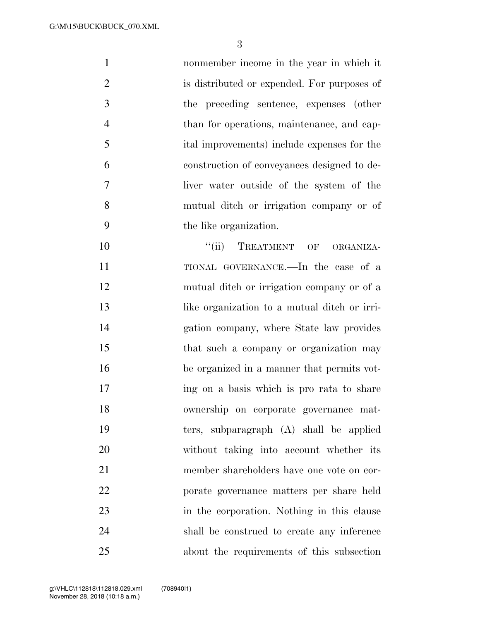nonmember income in the year in which it is distributed or expended. For purposes of the preceding sentence, expenses (other than for operations, maintenance, and cap- ital improvements) include expenses for the construction of conveyances designed to de- liver water outside of the system of the mutual ditch or irrigation company or of the like organization.  $"$ (ii) TREATMENT OF ORGANIZA- TIONAL GOVERNANCE.—In the case of a mutual ditch or irrigation company or of a 13 like organization to a mutual ditch or irri- gation company, where State law provides 15 that such a company or organization may be organized in a manner that permits vot- ing on a basis which is pro rata to share ownership on corporate governance mat- ters, subparagraph (A) shall be applied without taking into account whether its member shareholders have one vote on cor- porate governance matters per share held in the corporation. Nothing in this clause shall be construed to create any inference about the requirements of this subsection